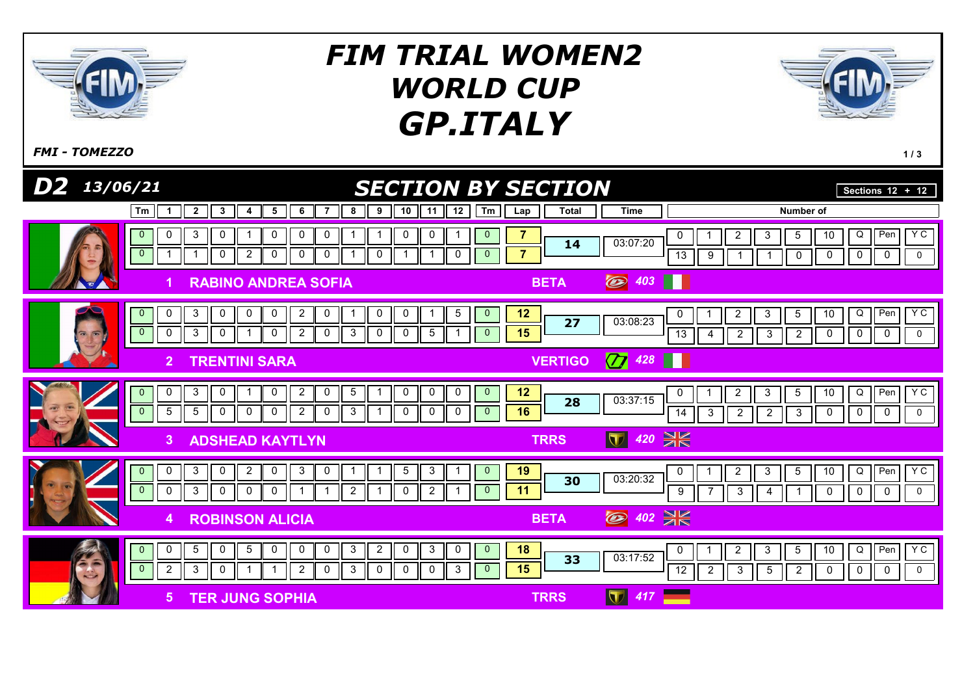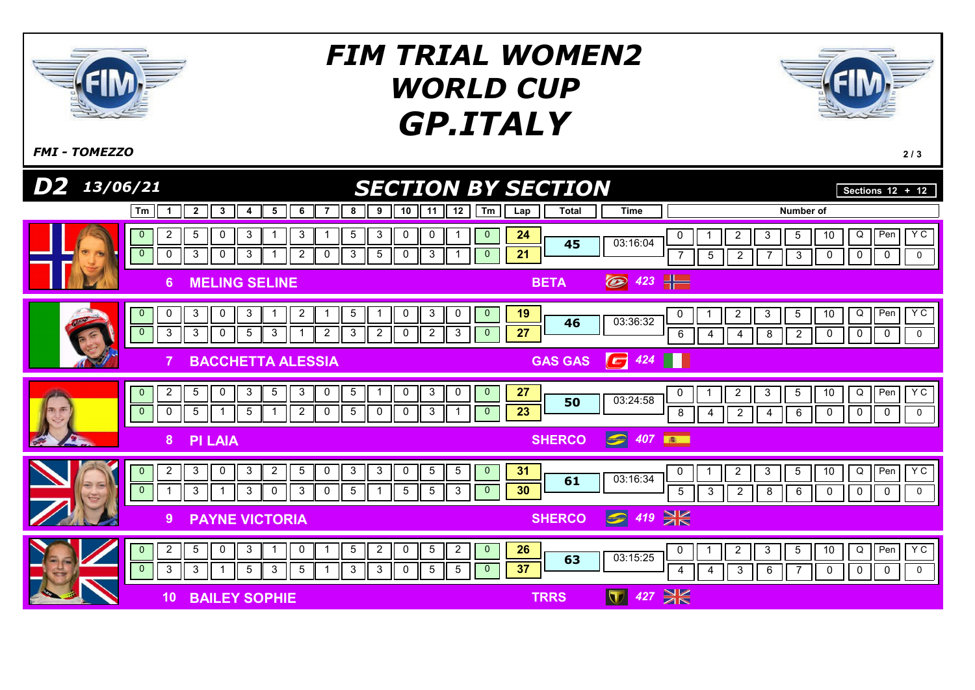